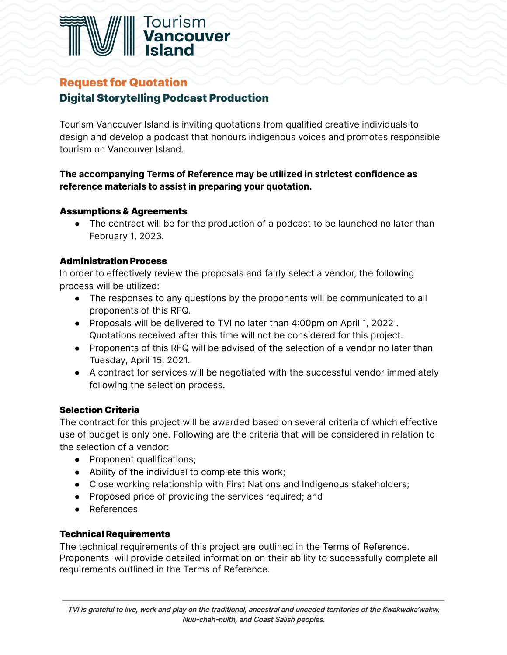

# Request for Quotation

# Digital Storytelling Podcast Production

Tourism Vancouver Island is inviting quotations from qualified creative individuals to design and develop a podcast that honours indigenous voices and promotes responsible tourism on Vancouver Island.

## **The accompanying Terms of Reference may be utilized in strictest confidence as reference materials to assist in preparing your quotation.**

## Assumptions & Agreements

● The contract will be for the production of a podcast to be launched no later than February 1, 2023.

## Administration Process

In order to effectively review the proposals and fairly select a vendor, the following process will be utilized:

- The responses to any questions by the proponents will be communicated to all proponents of this RFQ.
- Proposals will be delivered to TVI no later than 4:00pm on April 1, 2022 . Quotations received after this time will not be considered for this project.
- Proponents of this RFQ will be advised of the selection of a vendor no later than Tuesday, April 15, 2021.
- A contract for services will be negotiated with the successful vendor immediately following the selection process.

# Selection Criteria

The contract for this project will be awarded based on several criteria of which effective use of budget is only one. Following are the criteria that will be considered in relation to the selection of a vendor:

- Proponent qualifications;
- Ability of the individual to complete this work;
- Close working relationship with First Nations and Indigenous stakeholders;
- Proposed price of providing the services required; and
- References

## Technical Requirements

The technical requirements of this project are outlined in the Terms of Reference. Proponents will provide detailed information on their ability to successfully complete all requirements outlined in the Terms of Reference.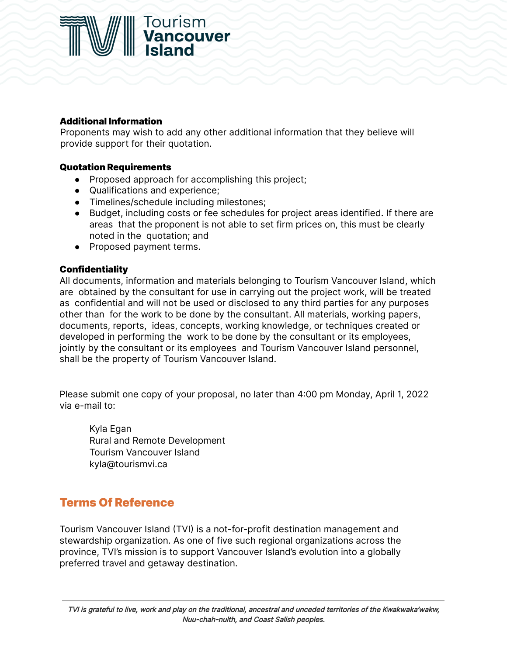

### Additional Information

Proponents may wish to add any other additional information that they believe will provide support for their quotation.

### Quotation Requirements

- Proposed approach for accomplishing this project;
- Qualifications and experience;
- Timelines/schedule including milestones;
- Budget, including costs or fee schedules for project areas identified. If there are areas that the proponent is not able to set firm prices on, this must be clearly noted in the quotation; and
- Proposed payment terms.

### **Confidentiality**

All documents, information and materials belonging to Tourism Vancouver Island, which are obtained by the consultant for use in carrying out the project work, will be treated as confidential and will not be used or disclosed to any third parties for any purposes other than for the work to be done by the consultant. All materials, working papers, documents, reports, ideas, concepts, working knowledge, or techniques created or developed in performing the work to be done by the consultant or its employees, jointly by the consultant or its employees and Tourism Vancouver Island personnel, shall be the property of Tourism Vancouver Island.

Please submit one copy of your proposal, no later than 4:00 pm Monday, April 1, 2022 via e-mail to:

Kyla Egan Rural and Remote Development Tourism Vancouver Island kyla[@tourismvi.ca](mailto:hannah@tourismvi.ca)

# Terms Of Reference

Tourism Vancouver Island (TVI) is a not-for-profit destination management and stewardship organization. As one of five such regional organizations across the province, TVI's mission is to support Vancouver Island's evolution into a globally preferred travel and getaway destination.

TVI is grateful to live, work and play on the traditional, ancestral and unceded territories of the Kwakwaka'wakw, Nuu-chah-nulth, and Coast Salish peoples.